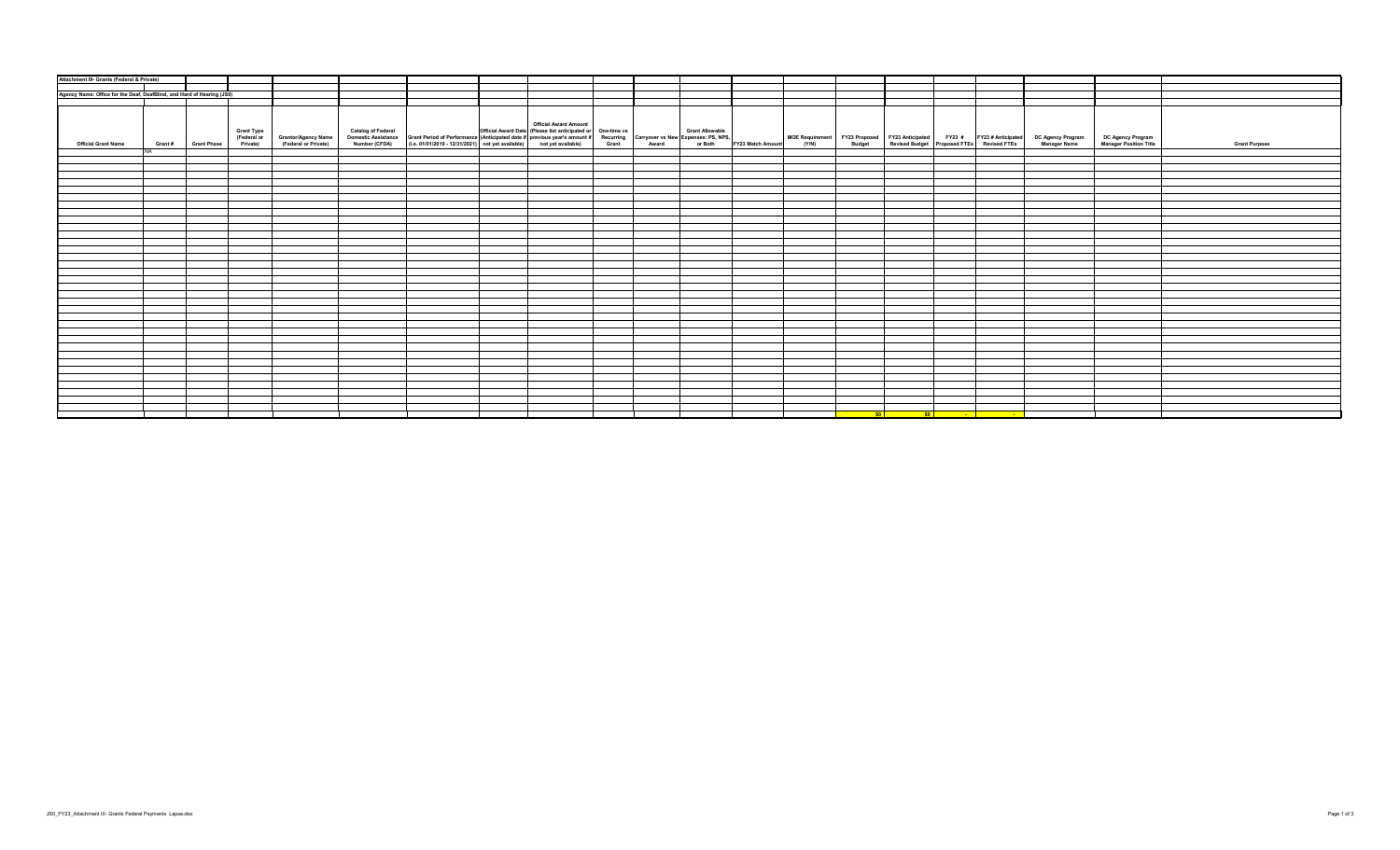| Attachment III- Grants (Federal & Private)                             |        |                    |                   |                                                                  |  |                                                                                                                                                                                                                                                                  |  |  |  |  |                                                                                                                                                                   |                                             |                      |
|------------------------------------------------------------------------|--------|--------------------|-------------------|------------------------------------------------------------------|--|------------------------------------------------------------------------------------------------------------------------------------------------------------------------------------------------------------------------------------------------------------------|--|--|--|--|-------------------------------------------------------------------------------------------------------------------------------------------------------------------|---------------------------------------------|----------------------|
|                                                                        |        |                    |                   |                                                                  |  |                                                                                                                                                                                                                                                                  |  |  |  |  |                                                                                                                                                                   |                                             |                      |
|                                                                        |        |                    |                   |                                                                  |  |                                                                                                                                                                                                                                                                  |  |  |  |  |                                                                                                                                                                   |                                             |                      |
| Agency Name: Office for the Deaf, DeafBlind, and Hard of Hearing (JS0) |        |                    |                   |                                                                  |  |                                                                                                                                                                                                                                                                  |  |  |  |  |                                                                                                                                                                   |                                             |                      |
|                                                                        |        |                    |                   |                                                                  |  |                                                                                                                                                                                                                                                                  |  |  |  |  |                                                                                                                                                                   |                                             |                      |
| <b>Official Grant Name</b>                                             | Grant# | <b>Grant Phase</b> | <b>Grant Type</b> | (Federal or Grantor/Agency Name<br>Private) (Federal or Private) |  | <b>Official Award Amount</b><br>Catalog of Federal وCant Allowable (Please list anticipated or One-time vs (Grant Allowable )<br>Domestic Assistance   Grant Period of Performance (Anticipated date if previous year's amount if Recurring Carryover vs New Exp |  |  |  |  | MOE Requirement FY23 Proposed FY23 Anticipated FY23 # FY23 # Anticipated DC Agency Program<br>(Y/N) Budget Revised Budget Proposed FTEs Revised FTEs Manager Name | DC Agency Program<br>Manager Position Title | <b>Grant Purpose</b> |
|                                                                        |        |                    |                   |                                                                  |  |                                                                                                                                                                                                                                                                  |  |  |  |  |                                                                                                                                                                   |                                             |                      |
|                                                                        |        |                    |                   |                                                                  |  |                                                                                                                                                                                                                                                                  |  |  |  |  |                                                                                                                                                                   |                                             |                      |
|                                                                        |        |                    |                   |                                                                  |  |                                                                                                                                                                                                                                                                  |  |  |  |  |                                                                                                                                                                   |                                             |                      |
|                                                                        |        |                    |                   |                                                                  |  |                                                                                                                                                                                                                                                                  |  |  |  |  |                                                                                                                                                                   |                                             |                      |
|                                                                        |        |                    |                   |                                                                  |  |                                                                                                                                                                                                                                                                  |  |  |  |  |                                                                                                                                                                   |                                             |                      |
|                                                                        |        |                    |                   |                                                                  |  |                                                                                                                                                                                                                                                                  |  |  |  |  |                                                                                                                                                                   |                                             |                      |
|                                                                        |        |                    |                   |                                                                  |  |                                                                                                                                                                                                                                                                  |  |  |  |  |                                                                                                                                                                   |                                             |                      |
|                                                                        |        |                    |                   |                                                                  |  |                                                                                                                                                                                                                                                                  |  |  |  |  |                                                                                                                                                                   |                                             |                      |
|                                                                        |        |                    |                   |                                                                  |  |                                                                                                                                                                                                                                                                  |  |  |  |  |                                                                                                                                                                   |                                             |                      |
|                                                                        |        |                    |                   |                                                                  |  |                                                                                                                                                                                                                                                                  |  |  |  |  |                                                                                                                                                                   |                                             |                      |
|                                                                        |        |                    |                   |                                                                  |  |                                                                                                                                                                                                                                                                  |  |  |  |  |                                                                                                                                                                   |                                             |                      |
|                                                                        |        |                    |                   |                                                                  |  |                                                                                                                                                                                                                                                                  |  |  |  |  |                                                                                                                                                                   |                                             |                      |
|                                                                        |        |                    |                   |                                                                  |  |                                                                                                                                                                                                                                                                  |  |  |  |  |                                                                                                                                                                   |                                             |                      |
|                                                                        |        |                    |                   |                                                                  |  |                                                                                                                                                                                                                                                                  |  |  |  |  |                                                                                                                                                                   |                                             |                      |
|                                                                        |        |                    |                   |                                                                  |  |                                                                                                                                                                                                                                                                  |  |  |  |  |                                                                                                                                                                   |                                             |                      |
|                                                                        |        |                    |                   |                                                                  |  |                                                                                                                                                                                                                                                                  |  |  |  |  |                                                                                                                                                                   |                                             |                      |
|                                                                        |        |                    |                   |                                                                  |  |                                                                                                                                                                                                                                                                  |  |  |  |  |                                                                                                                                                                   |                                             |                      |
|                                                                        |        |                    |                   |                                                                  |  |                                                                                                                                                                                                                                                                  |  |  |  |  |                                                                                                                                                                   |                                             |                      |
|                                                                        |        |                    |                   |                                                                  |  |                                                                                                                                                                                                                                                                  |  |  |  |  |                                                                                                                                                                   |                                             |                      |
|                                                                        |        |                    |                   |                                                                  |  |                                                                                                                                                                                                                                                                  |  |  |  |  |                                                                                                                                                                   |                                             |                      |
|                                                                        |        |                    |                   |                                                                  |  |                                                                                                                                                                                                                                                                  |  |  |  |  |                                                                                                                                                                   |                                             |                      |
|                                                                        |        |                    |                   |                                                                  |  |                                                                                                                                                                                                                                                                  |  |  |  |  |                                                                                                                                                                   |                                             |                      |
|                                                                        |        |                    |                   |                                                                  |  |                                                                                                                                                                                                                                                                  |  |  |  |  |                                                                                                                                                                   |                                             |                      |
|                                                                        |        |                    |                   |                                                                  |  |                                                                                                                                                                                                                                                                  |  |  |  |  |                                                                                                                                                                   |                                             |                      |
|                                                                        |        |                    |                   |                                                                  |  |                                                                                                                                                                                                                                                                  |  |  |  |  |                                                                                                                                                                   |                                             |                      |
|                                                                        |        |                    |                   |                                                                  |  |                                                                                                                                                                                                                                                                  |  |  |  |  |                                                                                                                                                                   |                                             |                      |
|                                                                        |        |                    |                   |                                                                  |  |                                                                                                                                                                                                                                                                  |  |  |  |  |                                                                                                                                                                   |                                             |                      |
|                                                                        |        |                    |                   |                                                                  |  |                                                                                                                                                                                                                                                                  |  |  |  |  |                                                                                                                                                                   |                                             |                      |
|                                                                        |        |                    |                   |                                                                  |  |                                                                                                                                                                                                                                                                  |  |  |  |  |                                                                                                                                                                   |                                             |                      |
|                                                                        |        |                    |                   |                                                                  |  |                                                                                                                                                                                                                                                                  |  |  |  |  |                                                                                                                                                                   |                                             |                      |
|                                                                        |        |                    |                   |                                                                  |  |                                                                                                                                                                                                                                                                  |  |  |  |  |                                                                                                                                                                   |                                             |                      |
|                                                                        |        |                    |                   |                                                                  |  |                                                                                                                                                                                                                                                                  |  |  |  |  |                                                                                                                                                                   |                                             |                      |
|                                                                        |        |                    |                   |                                                                  |  |                                                                                                                                                                                                                                                                  |  |  |  |  |                                                                                                                                                                   |                                             |                      |
|                                                                        |        |                    |                   |                                                                  |  |                                                                                                                                                                                                                                                                  |  |  |  |  |                                                                                                                                                                   |                                             |                      |
|                                                                        |        |                    |                   |                                                                  |  |                                                                                                                                                                                                                                                                  |  |  |  |  |                                                                                                                                                                   |                                             |                      |
|                                                                        |        |                    |                   |                                                                  |  |                                                                                                                                                                                                                                                                  |  |  |  |  |                                                                                                                                                                   |                                             |                      |
|                                                                        |        |                    |                   |                                                                  |  |                                                                                                                                                                                                                                                                  |  |  |  |  |                                                                                                                                                                   |                                             |                      |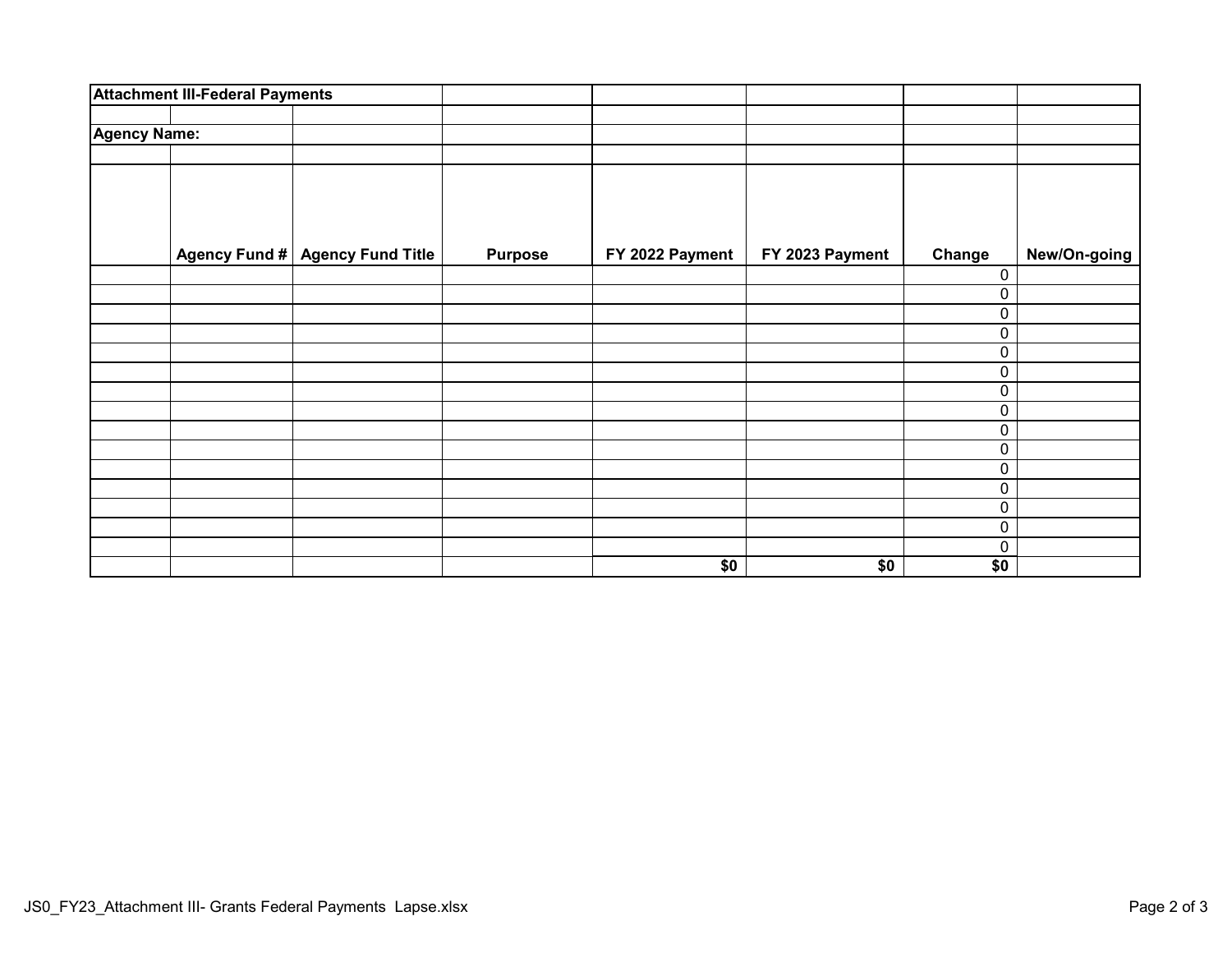|                     | <b>Attachment III-Federal Payments</b>    |                |                 |                 |        |              |
|---------------------|-------------------------------------------|----------------|-----------------|-----------------|--------|--------------|
|                     |                                           |                |                 |                 |        |              |
| <b>Agency Name:</b> |                                           |                |                 |                 |        |              |
|                     |                                           |                |                 |                 |        |              |
|                     |                                           |                |                 |                 |        |              |
|                     |                                           |                |                 |                 |        |              |
|                     | Agency Fund #<br><b>Agency Fund Title</b> | <b>Purpose</b> | FY 2022 Payment | FY 2023 Payment | Change | New/On-going |
|                     |                                           |                |                 |                 | 0      |              |
|                     |                                           |                |                 |                 | 0      |              |
|                     |                                           |                |                 |                 | 0      |              |
|                     |                                           |                |                 |                 | 0      |              |
|                     |                                           |                |                 |                 | 0      |              |
|                     |                                           |                |                 |                 | 0      |              |
|                     |                                           |                |                 |                 | 0      |              |
|                     |                                           |                |                 |                 | 0      |              |
|                     |                                           |                |                 |                 | 0      |              |
|                     |                                           |                |                 |                 | 0      |              |
|                     |                                           |                |                 |                 | 0      |              |
|                     |                                           |                |                 |                 | 0      |              |
|                     |                                           |                |                 |                 | 0      |              |
|                     |                                           |                |                 |                 | 0      |              |
|                     |                                           |                |                 |                 | 0      |              |
|                     |                                           |                | \$0             | \$0             | \$0    |              |